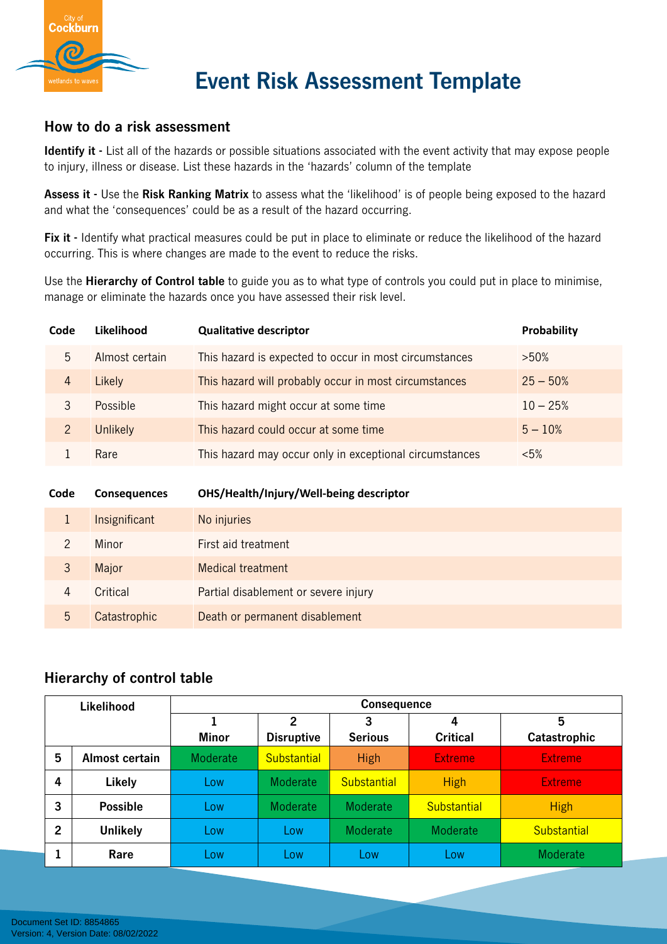

## **Event Risk Assessment Template**

### **How to do a risk assessment**

**Identify it -** List all of the hazards or possible situations associated with the event activity that may expose people to injury, illness or disease. List these hazards in the 'hazards' column of the template

**Assess it -** Use the **Risk Ranking Matrix** to assess what the 'likelihood' is of people being exposed to the hazard and what the 'consequences' could be as a result of the hazard occurring.

Fix it - Identify what practical measures could be put in place to eliminate or reduce the likelihood of the hazard occurring. This is where changes are made to the event to reduce the risks.

Use the **Hierarchy of Control table** to guide you as to what type of controls you could put in place to minimise, manage or eliminate the hazards once you have assessed their risk level.

| Code | Likelihood      | <b>Qualitative descriptor</b>                           | <b>Probability</b> |
|------|-----------------|---------------------------------------------------------|--------------------|
| 5    | Almost certain  | This hazard is expected to occur in most circumstances  | $>50\%$            |
| 4    | Likely          | This hazard will probably occur in most circumstances   | $25 - 50\%$        |
|      | Possible        | This hazard might occur at some time                    | $10 - 25%$         |
| 2    | <b>Unlikely</b> | This hazard could occur at some time                    | $5 - 10\%$         |
|      | Rare            | This hazard may occur only in exceptional circumstances | $< 5\%$            |

| Code | <b>Consequences</b> | OHS/Health/Injury/Well-being descriptor |  |  |
|------|---------------------|-----------------------------------------|--|--|
|      | Insignificant       | No injuries                             |  |  |
|      | Minor               | First aid treatment                     |  |  |
| 3    | Major               | <b>Medical treatment</b>                |  |  |
| 4    | Critical            | Partial disablement or severe injury    |  |  |
| 5    | Catastrophic        | Death or permanent disablement          |  |  |

### **Hierarchy of control table**

| Likelihood     |                 | <b>Consequence</b> |                 |                     |                      |                    |  |
|----------------|-----------------|--------------------|-----------------|---------------------|----------------------|--------------------|--|
|                |                 | 1<br>Minor         |                 | 3<br><b>Serious</b> | 4<br><b>Critical</b> | 5<br>Catastrophic  |  |
| 5              | Almost certain  | Moderate           | Substantial     | <b>High</b>         | <b>Extreme</b>       | <b>Extreme</b>     |  |
| 4              | Likely          | Low                | <b>Moderate</b> | Substantial         | <b>High</b>          | <b>Extreme</b>     |  |
| 3              | <b>Possible</b> | Low                | Moderate        | Moderate            | <b>Substantial</b>   | <b>High</b>        |  |
| $\overline{2}$ | <b>Unlikely</b> | Low                | Low             | Moderate            | Moderate             | <b>Substantial</b> |  |
|                | Rare            | Low                | Low             | Low                 | Low                  | Moderate           |  |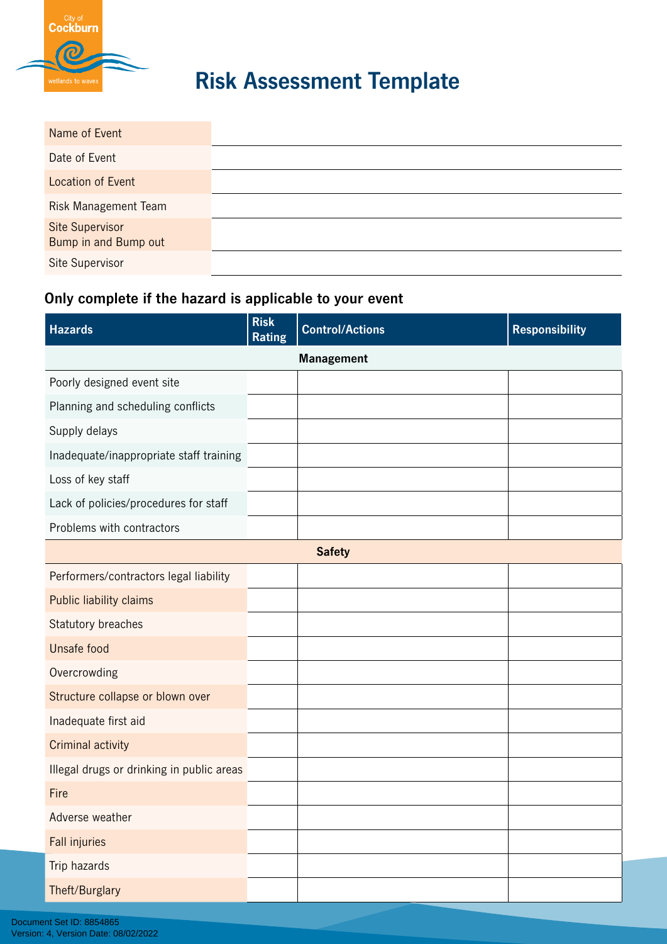

# **Risk Assessment Template**

| Name of Event                           |  |
|-----------------------------------------|--|
| Date of Event                           |  |
| Location of Event                       |  |
| <b>Risk Management Team</b>             |  |
| Site Supervisor<br>Bump in and Bump out |  |
| Site Supervisor                         |  |

### **Only complete if the hazard is applicable to your event**

| <b>Hazards</b>                            | <b>Risk</b><br><b>Rating</b> | <b>Control/Actions</b> | <b>Responsibility</b> |
|-------------------------------------------|------------------------------|------------------------|-----------------------|
| <b>Management</b>                         |                              |                        |                       |
| Poorly designed event site                |                              |                        |                       |
| Planning and scheduling conflicts         |                              |                        |                       |
| Supply delays                             |                              |                        |                       |
| Inadequate/inappropriate staff training   |                              |                        |                       |
| Loss of key staff                         |                              |                        |                       |
| Lack of policies/procedures for staff     |                              |                        |                       |
| Problems with contractors                 |                              |                        |                       |
|                                           |                              | <b>Safety</b>          |                       |
| Performers/contractors legal liability    |                              |                        |                       |
| Public liability claims                   |                              |                        |                       |
| Statutory breaches                        |                              |                        |                       |
| Unsafe food                               |                              |                        |                       |
| Overcrowding                              |                              |                        |                       |
| Structure collapse or blown over          |                              |                        |                       |
| Inadequate first aid                      |                              |                        |                       |
| <b>Criminal activity</b>                  |                              |                        |                       |
| Illegal drugs or drinking in public areas |                              |                        |                       |
| Fire                                      |                              |                        |                       |
| Adverse weather                           |                              |                        |                       |
| <b>Fall injuries</b>                      |                              |                        |                       |
| Trip hazards                              |                              |                        |                       |
| Theft/Burglary                            |                              |                        |                       |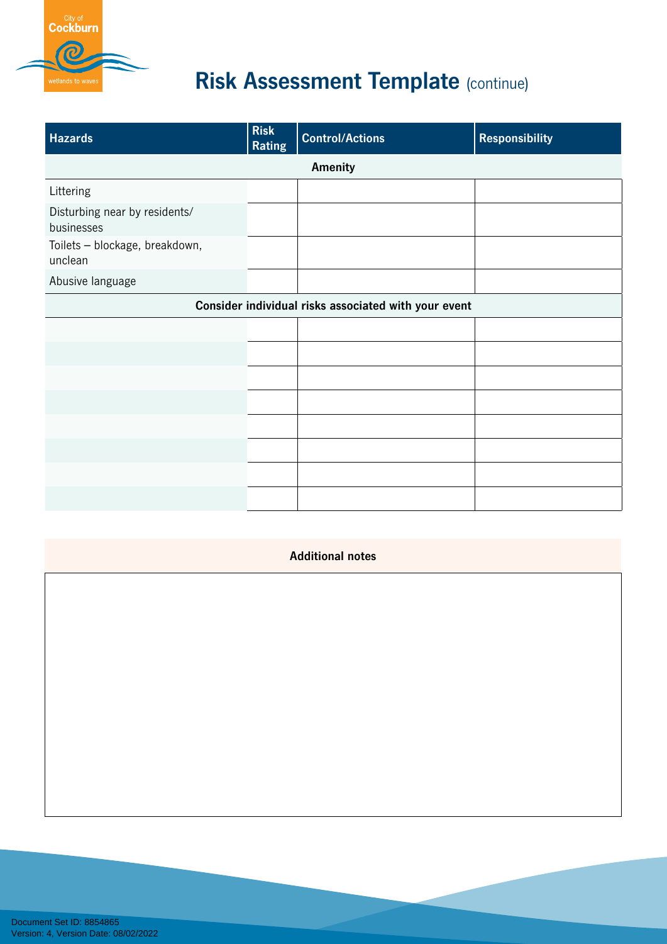

# **Risk Assessment Template (continue)**

| <b>Hazards</b>                              | <b>Risk</b><br><b>Rating</b>                         | <b>Control/Actions</b> | <b>Responsibility</b> |  |  |
|---------------------------------------------|------------------------------------------------------|------------------------|-----------------------|--|--|
|                                             | Amenity                                              |                        |                       |  |  |
| Littering                                   |                                                      |                        |                       |  |  |
| Disturbing near by residents/<br>businesses |                                                      |                        |                       |  |  |
| Toilets - blockage, breakdown,<br>unclean   |                                                      |                        |                       |  |  |
| Abusive language                            |                                                      |                        |                       |  |  |
|                                             | Consider individual risks associated with your event |                        |                       |  |  |
|                                             |                                                      |                        |                       |  |  |
|                                             |                                                      |                        |                       |  |  |
|                                             |                                                      |                        |                       |  |  |
|                                             |                                                      |                        |                       |  |  |
|                                             |                                                      |                        |                       |  |  |
|                                             |                                                      |                        |                       |  |  |
|                                             |                                                      |                        |                       |  |  |
|                                             |                                                      |                        |                       |  |  |

#### **Additional notes**